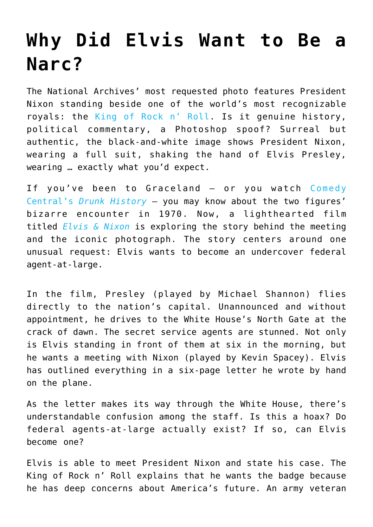## **[Why Did Elvis Want to Be a](https://intellectualtakeout.org/2016/05/why-did-elvis-want-to-be-a-narc/) [Narc?](https://intellectualtakeout.org/2016/05/why-did-elvis-want-to-be-a-narc/)**

The National Archives' most requested photo features President Nixon standing beside one of the world's most recognizable royals: the [King of Rock n' Roll.](http://www.smithsonianmag.com/history/when-elvis-met-nixon-69892425/?no-ist) Is it genuine history, political commentary, a Photoshop spoof? Surreal but authentic, the black-and-white image shows President Nixon, wearing a full suit, shaking the hand of Elvis Presley, wearing … exactly what you'd expect.

If you've been to Graceland — or you watch [Comedy](https://www.youtube.com/watch?v=UvkA_DhowAg) [Central's](https://www.youtube.com/watch?v=UvkA_DhowAg) *[Drunk History](https://www.youtube.com/watch?v=UvkA_DhowAg)* — you may know about the two figures' bizarre encounter in 1970. Now, a lighthearted film titled *[Elvis & Nixon](http://smile.amazon.com/Elvis-Nixon-Michael-Shannon/dp/B01DTFEJVS?tag=foundationforeco)* is exploring the story behind the meeting and the iconic photograph. The story centers around one unusual request: Elvis wants to become an undercover federal agent-at-large.

In the film, Presley (played by Michael Shannon) flies directly to the nation's capital. Unannounced and without appointment, he drives to the White House's North Gate at the crack of dawn. The secret service agents are stunned. Not only is Elvis standing in front of them at six in the morning, but he wants a meeting with Nixon (played by Kevin Spacey). Elvis has outlined everything in a six-page letter he wrote by hand on the plane.

As the letter makes its way through the White House, there's understandable confusion among the staff. Is this a hoax? Do federal agents-at-large actually exist? If so, can Elvis become one?

Elvis is able to meet President Nixon and state his case. The King of Rock n' Roll explains that he wants the badge because he has deep concerns about America's future. An army veteran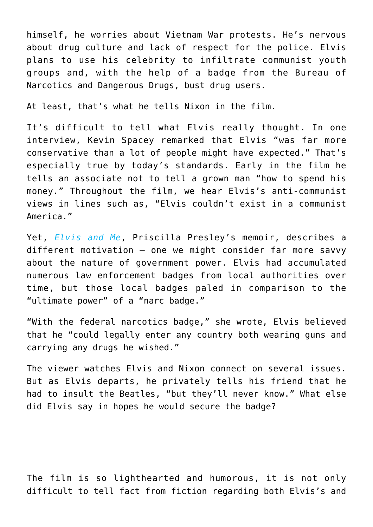himself, he worries about Vietnam War protests. He's nervous about drug culture and lack of respect for the police. Elvis plans to use his celebrity to infiltrate communist youth groups and, with the help of a badge from the Bureau of Narcotics and Dangerous Drugs, bust drug users.

At least, that's what he tells Nixon in the film.

It's difficult to tell what Elvis really thought. In one interview, Kevin Spacey remarked that Elvis "was far more conservative than a lot of people might have expected." That's especially true by today's standards. Early in the film he tells an associate not to tell a grown man "how to spend his money." Throughout the film, we hear Elvis's anti-communist views in lines such as, "Elvis couldn't exist in a communist America."

Yet, *[Elvis and Me](http://smile.amazon.com/Elvis-Me-Priscilla-Beaulieu-Presley/dp/0425091031?tag=foundationforeco)*, Priscilla Presley's memoir, describes a different motivation — one we might consider far more savvy about the nature of government power. Elvis had accumulated numerous law enforcement badges from local authorities over time, but those local badges paled in comparison to the "ultimate power" of a "narc badge."

"With the federal narcotics badge," she wrote, Elvis believed that he "could legally enter any country both wearing guns and carrying any drugs he wished."

The viewer watches Elvis and Nixon connect on several issues. But as Elvis departs, he privately tells his friend that he had to insult the Beatles, "but they'll never know." What else did Elvis say in hopes he would secure the badge?

The film is so lighthearted and humorous, it is not only difficult to tell fact from fiction regarding both Elvis's and